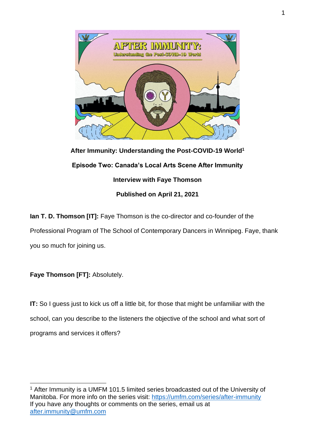

**After Immunity: Understanding the Post-COVID-19 World<sup>1</sup> Episode Two: Canada's Local Arts Scene After Immunity Interview with Faye Thomson Published on April 21, 2021**

**Ian T. D. Thomson [IT]:** Faye Thomson is the co-director and co-founder of the Professional Program of The School of Contemporary Dancers in Winnipeg. Faye, thank you so much for joining us.

**Faye Thomson [FT]:** Absolutely.

**IT:** So I guess just to kick us off a little bit, for those that might be unfamiliar with the school, can you describe to the listeners the objective of the school and what sort of programs and services it offers?

<sup>&</sup>lt;sup>1</sup> After Immunity is a UMFM 101.5 limited series broadcasted out of the University of Manitoba. For more info on the series visit:<https://umfm.com/series/after-immunity> If you have any thoughts or comments on the series, email us at [after.immunity@umfm.com](mailto:after.immunity@umfm.com)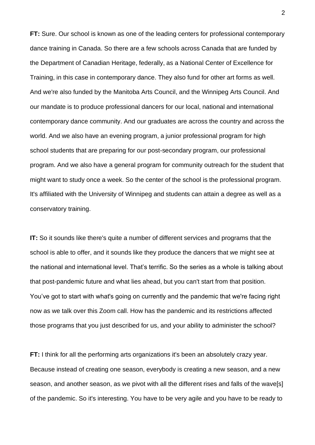**FT:** Sure. Our school is known as one of the leading centers for professional contemporary dance training in Canada. So there are a few schools across Canada that are funded by the Department of Canadian Heritage, federally, as a National Center of Excellence for Training, in this case in contemporary dance. They also fund for other art forms as well. And we're also funded by the Manitoba Arts Council, and the Winnipeg Arts Council. And our mandate is to produce professional dancers for our local, national and international contemporary dance community. And our graduates are across the country and across the world. And we also have an evening program, a junior professional program for high school students that are preparing for our post-secondary program, our professional program. And we also have a general program for community outreach for the student that might want to study once a week. So the center of the school is the professional program. It's affiliated with the University of Winnipeg and students can attain a degree as well as a conservatory training.

**IT:** So it sounds like there's quite a number of different services and programs that the school is able to offer, and it sounds like they produce the dancers that we might see at the national and international level. That's terrific. So the series as a whole is talking about that post-pandemic future and what lies ahead, but you can't start from that position. You've got to start with what's going on currently and the pandemic that we're facing right now as we talk over this Zoom call. How has the pandemic and its restrictions affected those programs that you just described for us, and your ability to administer the school?

**FT:** I think for all the performing arts organizations it's been an absolutely crazy year. Because instead of creating one season, everybody is creating a new season, and a new season, and another season, as we pivot with all the different rises and falls of the wave[s] of the pandemic. So it's interesting. You have to be very agile and you have to be ready to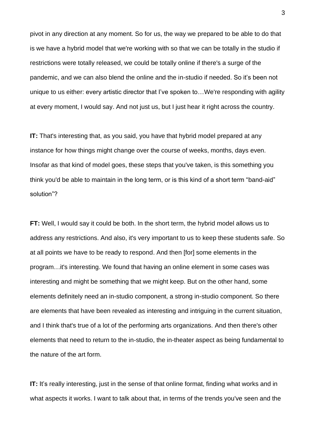pivot in any direction at any moment. So for us, the way we prepared to be able to do that is we have a hybrid model that we're working with so that we can be totally in the studio if restrictions were totally released, we could be totally online if there's a surge of the pandemic, and we can also blend the online and the in-studio if needed. So it's been not unique to us either: every artistic director that I've spoken to…We're responding with agility at every moment, I would say. And not just us, but I just hear it right across the country.

**IT:** That's interesting that, as you said, you have that hybrid model prepared at any instance for how things might change over the course of weeks, months, days even. Insofar as that kind of model goes, these steps that you've taken, is this something you think you'd be able to maintain in the long term, or is this kind of a short term "band-aid" solution"?

**FT:** Well, I would say it could be both. In the short term, the hybrid model allows us to address any restrictions. And also, it's very important to us to keep these students safe. So at all points we have to be ready to respond. And then [for] some elements in the program…it's interesting. We found that having an online element in some cases was interesting and might be something that we might keep. But on the other hand, some elements definitely need an in-studio component, a strong in-studio component. So there are elements that have been revealed as interesting and intriguing in the current situation, and I think that's true of a lot of the performing arts organizations. And then there's other elements that need to return to the in-studio, the in-theater aspect as being fundamental to the nature of the art form.

**IT:** It's really interesting, just in the sense of that online format, finding what works and in what aspects it works. I want to talk about that, in terms of the trends you've seen and the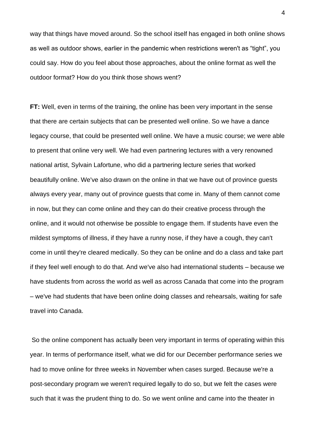way that things have moved around. So the school itself has engaged in both online shows as well as outdoor shows, earlier in the pandemic when restrictions weren't as "tight", you could say. How do you feel about those approaches, about the online format as well the outdoor format? How do you think those shows went?

**FT:** Well, even in terms of the training, the online has been very important in the sense that there are certain subjects that can be presented well online. So we have a dance legacy course, that could be presented well online. We have a music course; we were able to present that online very well. We had even partnering lectures with a very renowned national artist, Sylvain Lafortune, who did a partnering lecture series that worked beautifully online. We've also drawn on the online in that we have out of province guests always every year, many out of province guests that come in. Many of them cannot come in now, but they can come online and they can do their creative process through the online, and it would not otherwise be possible to engage them. If students have even the mildest symptoms of illness, if they have a runny nose, if they have a cough, they can't come in until they're cleared medically. So they can be online and do a class and take part if they feel well enough to do that. And we've also had international students – because we have students from across the world as well as across Canada that come into the program – we've had students that have been online doing classes and rehearsals, waiting for safe travel into Canada.

So the online component has actually been very important in terms of operating within this year. In terms of performance itself, what we did for our December performance series we had to move online for three weeks in November when cases surged. Because we're a post-secondary program we weren't required legally to do so, but we felt the cases were such that it was the prudent thing to do. So we went online and came into the theater in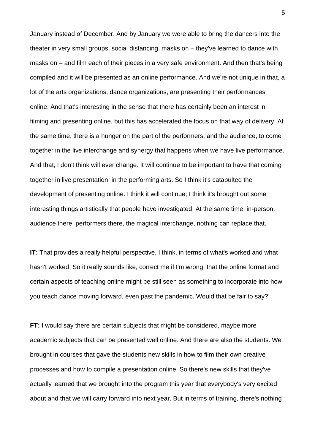January instead of December. And by January we were able to bring the dancers into the theater in very small groups, social distancing, masks on – they've learned to dance with masks on – and film each of their pieces in a very safe environment. And then that's being compiled and it will be presented as an online performance. And we're not unique in that, a lot of the arts organizations, dance organizations, are presenting their performances online. And that's interesting in the sense that there has certainly been an interest in filming and presenting online, but this has accelerated the focus on that way of delivery. At the same time, there is a hunger on the part of the performers, and the audience, to come together in the live interchange and synergy that happens when we have live performance. And that, I don't think will ever change. It will continue to be important to have that coming together in live presentation, in the performing arts. So I think it's catapulted the development of presenting online. I think it will continue; I think it's brought out some interesting things artistically that people have investigated. At the same time, in-person, audience there, performers there, the magical interchange, nothing can replace that.

**IT:** That provides a really helpful perspective, I think, in terms of what's worked and what hasn't worked. So it really sounds like, correct me if I'm wrong, that the online format and certain aspects of teaching online might be still seen as something to incorporate into how you teach dance moving forward, even past the pandemic. Would that be fair to say?

**FT:** I would say there are certain subjects that might be considered, maybe more academic subjects that can be presented well online. And there are also the students. We brought in courses that gave the students new skills in how to film their own creative processes and how to compile a presentation online. So there's new skills that they've actually learned that we brought into the program this year that everybody's very excited about and that we will carry forward into next year. But in terms of training, there's nothing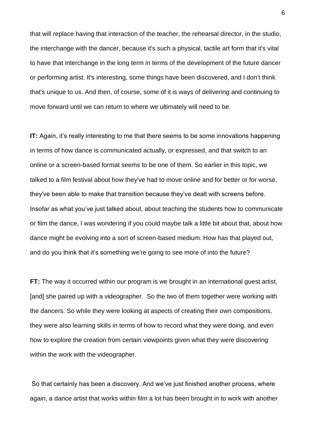that will replace having that interaction of the teacher, the rehearsal director, in the studio, the interchange with the dancer, because it's such a physical, tactile art form that it's vital to have that interchange in the long term in terms of the development of the future dancer or performing artist. It's interesting, some things have been discovered, and I don't think that's unique to us. And then, of course, some of it is ways of delivering and continuing to move forward until we can return to where we ultimately will need to be.

**IT:** Again, it's really interesting to me that there seems to be some innovations happening in terms of how dance is communicated actually, or expressed, and that switch to an online or a screen-based format seems to be one of them. So earlier in this topic, we talked to a film festival about how they've had to move online and for better or for worse, they've been able to make that transition because they've dealt with screens before. Insofar as what you've just talked about, about teaching the students how to communicate or film the dance, I was wondering if you could maybe talk a little bit about that, about how dance might be evolving into a sort of screen-based medium. How has that played out, and do you think that it's something we're going to see more of into the future?

**FT:** The way it occurred within our program is we brought in an international quest artist, [and] she paired up with a videographer. So the two of them together were working with the dancers. So while they were looking at aspects of creating their own compositions, they were also learning skills in terms of how to record what they were doing, and even how to explore the creation from certain viewpoints given what they were discovering within the work with the videographer.

So that certainly has been a discovery. And we've just finished another process, where again, a dance artist that works within film a lot has been brought in to work with another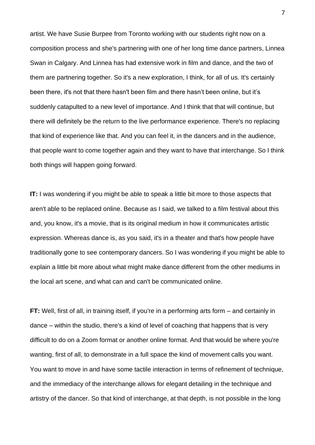artist. We have Susie Burpee from Toronto working with our students right now on a composition process and she's partnering with one of her long time dance partners, Linnea Swan in Calgary. And Linnea has had extensive work in film and dance, and the two of them are partnering together. So it's a new exploration, I think, for all of us. It's certainly been there, it's not that there hasn't been film and there hasn't been online, but it's suddenly catapulted to a new level of importance. And I think that that will continue, but there will definitely be the return to the live performance experience. There's no replacing that kind of experience like that. And you can feel it, in the dancers and in the audience, that people want to come together again and they want to have that interchange. So I think both things will happen going forward.

**IT:** I was wondering if you might be able to speak a little bit more to those aspects that aren't able to be replaced online. Because as I said, we talked to a film festival about this and, you know, it's a movie, that is its original medium in how it communicates artistic expression. Whereas dance is, as you said, it's in a theater and that's how people have traditionally gone to see contemporary dancers. So I was wondering if you might be able to explain a little bit more about what might make dance different from the other mediums in the local art scene, and what can and can't be communicated online.

**FT:** Well, first of all, in training itself, if you're in a performing arts form – and certainly in dance – within the studio, there's a kind of level of coaching that happens that is very difficult to do on a Zoom format or another online format. And that would be where you're wanting, first of all, to demonstrate in a full space the kind of movement calls you want. You want to move in and have some tactile interaction in terms of refinement of technique, and the immediacy of the interchange allows for elegant detailing in the technique and artistry of the dancer. So that kind of interchange, at that depth, is not possible in the long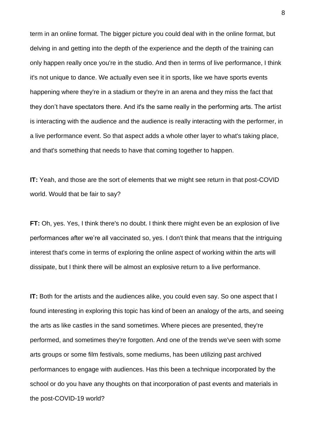term in an online format. The bigger picture you could deal with in the online format, but delving in and getting into the depth of the experience and the depth of the training can only happen really once you're in the studio. And then in terms of live performance, I think it's not unique to dance. We actually even see it in sports, like we have sports events happening where they're in a stadium or they're in an arena and they miss the fact that they don't have spectators there. And it's the same really in the performing arts. The artist is interacting with the audience and the audience is really interacting with the performer, in a live performance event. So that aspect adds a whole other layer to what's taking place, and that's something that needs to have that coming together to happen.

**IT:** Yeah, and those are the sort of elements that we might see return in that post-COVID world. Would that be fair to say?

**FT:** Oh, yes. Yes, I think there's no doubt. I think there might even be an explosion of live performances after we're all vaccinated so, yes. I don't think that means that the intriguing interest that's come in terms of exploring the online aspect of working within the arts will dissipate, but I think there will be almost an explosive return to a live performance.

**IT:** Both for the artists and the audiences alike, you could even say. So one aspect that I found interesting in exploring this topic has kind of been an analogy of the arts, and seeing the arts as like castles in the sand sometimes. Where pieces are presented, they're performed, and sometimes they're forgotten. And one of the trends we've seen with some arts groups or some film festivals, some mediums, has been utilizing past archived performances to engage with audiences. Has this been a technique incorporated by the school or do you have any thoughts on that incorporation of past events and materials in the post-COVID-19 world?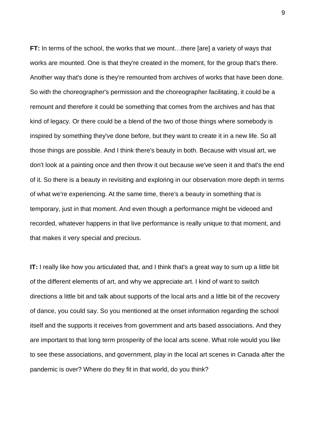**FT:** In terms of the school, the works that we mount…there [are] a variety of ways that works are mounted. One is that they're created in the moment, for the group that's there. Another way that's done is they're remounted from archives of works that have been done. So with the choreographer's permission and the choreographer facilitating, it could be a remount and therefore it could be something that comes from the archives and has that kind of legacy. Or there could be a blend of the two of those things where somebody is inspired by something they've done before, but they want to create it in a new life. So all those things are possible. And I think there's beauty in both. Because with visual art, we don't look at a painting once and then throw it out because we've seen it and that's the end of it. So there is a beauty in revisiting and exploring in our observation more depth in terms of what we're experiencing. At the same time, there's a beauty in something that is temporary, just in that moment. And even though a performance might be videoed and recorded, whatever happens in that live performance is really unique to that moment, and that makes it very special and precious.

**IT:** I really like how you articulated that, and I think that's a great way to sum up a little bit of the different elements of art, and why we appreciate art. I kind of want to switch directions a little bit and talk about supports of the local arts and a little bit of the recovery of dance, you could say. So you mentioned at the onset information regarding the school itself and the supports it receives from government and arts based associations. And they are important to that long term prosperity of the local arts scene. What role would you like to see these associations, and government, play in the local art scenes in Canada after the pandemic is over? Where do they fit in that world, do you think?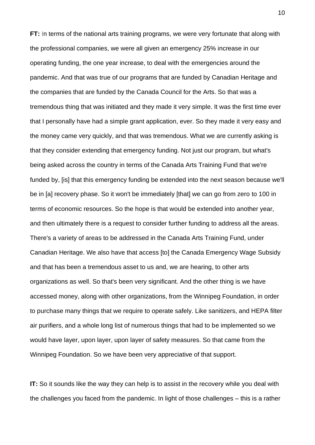**FT:** In terms of the national arts training programs, we were very fortunate that along with the professional companies, we were all given an emergency 25% increase in our operating funding, the one year increase, to deal with the emergencies around the pandemic. And that was true of our programs that are funded by Canadian Heritage and the companies that are funded by the Canada Council for the Arts. So that was a tremendous thing that was initiated and they made it very simple. It was the first time ever that I personally have had a simple grant application, ever. So they made it very easy and the money came very quickly, and that was tremendous. What we are currently asking is that they consider extending that emergency funding. Not just our program, but what's being asked across the country in terms of the Canada Arts Training Fund that we're funded by, [is] that this emergency funding be extended into the next season because we'll be in [a] recovery phase. So it won't be immediately [that] we can go from zero to 100 in terms of economic resources. So the hope is that would be extended into another year, and then ultimately there is a request to consider further funding to address all the areas. There's a variety of areas to be addressed in the Canada Arts Training Fund, under Canadian Heritage. We also have that access [to] the Canada Emergency Wage Subsidy and that has been a tremendous asset to us and, we are hearing, to other arts organizations as well. So that's been very significant. And the other thing is we have accessed money, along with other organizations, from the Winnipeg Foundation, in order to purchase many things that we require to operate safely. Like sanitizers, and HEPA filter air purifiers, and a whole long list of numerous things that had to be implemented so we would have layer, upon layer, upon layer of safety measures. So that came from the Winnipeg Foundation. So we have been very appreciative of that support.

**IT:** So it sounds like the way they can help is to assist in the recovery while you deal with the challenges you faced from the pandemic. In light of those challenges – this is a rather